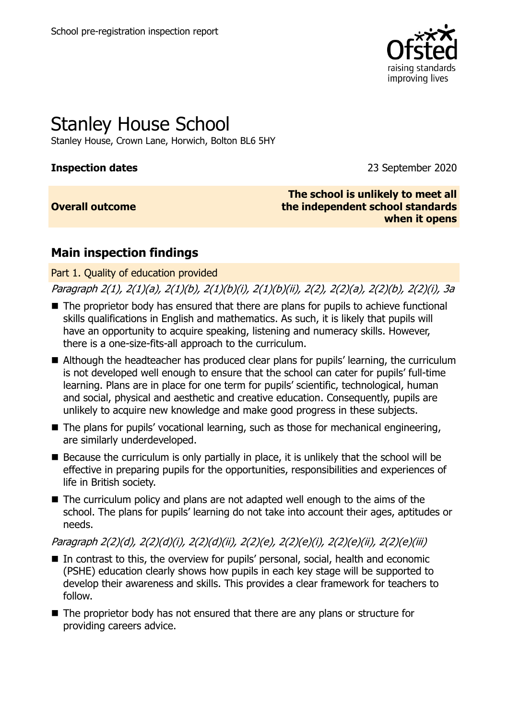

# Stanley House School

Stanley House, Crown Lane, Horwich, Bolton BL6 5HY

**Inspection dates** 2020

#### **Overall outcome**

**The school is unlikely to meet all the independent school standards when it opens**

# **Main inspection findings**

Part 1. Quality of education provided

Paragraph 2(1), 2(1)(a), 2(1)(b), 2(1)(b)(i), 2(1)(b)(ii), 2(2), 2(2)(a), 2(2)(b), 2(2)(i), 3a

- The proprietor body has ensured that there are plans for pupils to achieve functional skills qualifications in English and mathematics. As such, it is likely that pupils will have an opportunity to acquire speaking, listening and numeracy skills. However, there is a one-size-fits-all approach to the curriculum.
- Although the headteacher has produced clear plans for pupils' learning, the curriculum is not developed well enough to ensure that the school can cater for pupils' full-time learning. Plans are in place for one term for pupils' scientific, technological, human and social, physical and aesthetic and creative education. Consequently, pupils are unlikely to acquire new knowledge and make good progress in these subjects.
- The plans for pupils' vocational learning, such as those for mechanical engineering, are similarly underdeveloped.
- $\blacksquare$  Because the curriculum is only partially in place, it is unlikely that the school will be effective in preparing pupils for the opportunities, responsibilities and experiences of life in British society.
- The curriculum policy and plans are not adapted well enough to the aims of the school. The plans for pupils' learning do not take into account their ages, aptitudes or needs.

Paragraph 2(2)(d), 2(2)(d)(i), 2(2)(d)(ii), 2(2)(e), 2(2)(e)(i), 2(2)(e)(ii), 2(2)(e)(iii)

- In contrast to this, the overview for pupils' personal, social, health and economic (PSHE) education clearly shows how pupils in each key stage will be supported to develop their awareness and skills. This provides a clear framework for teachers to follow.
- The proprietor body has not ensured that there are any plans or structure for providing careers advice.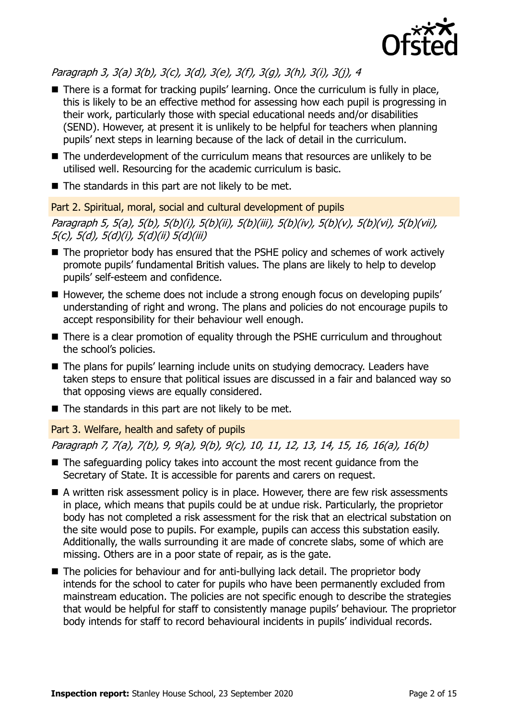

Paragraph 3, 3(a) 3(b), 3(c), 3(d), 3(e), 3(f), 3(g), 3(h), 3(i), 3(j), 4

- There is a format for tracking pupils' learning. Once the curriculum is fully in place, this is likely to be an effective method for assessing how each pupil is progressing in their work, particularly those with special educational needs and/or disabilities (SEND). However, at present it is unlikely to be helpful for teachers when planning pupils' next steps in learning because of the lack of detail in the curriculum.
- The underdevelopment of the curriculum means that resources are unlikely to be utilised well. Resourcing for the academic curriculum is basic.
- $\blacksquare$  The standards in this part are not likely to be met.

Part 2. Spiritual, moral, social and cultural development of pupils

Paragraph 5, 5(a), 5(b), 5(b)(i), 5(b)(ii), 5(b)(iii), 5(b)(iv), 5(b)(v), 5(b)(vi), 5(b)(vii), 5(c), 5(d), 5(d)(i), 5(d)(ii) 5(d)(iii)

- The proprietor body has ensured that the PSHE policy and schemes of work actively promote pupils' fundamental British values. The plans are likely to help to develop pupils' self-esteem and confidence.
- However, the scheme does not include a strong enough focus on developing pupils' understanding of right and wrong. The plans and policies do not encourage pupils to accept responsibility for their behaviour well enough.
- There is a clear promotion of equality through the PSHE curriculum and throughout the school's policies.
- The plans for pupils' learning include units on studying democracy. Leaders have taken steps to ensure that political issues are discussed in a fair and balanced way so that opposing views are equally considered.
- $\blacksquare$  The standards in this part are not likely to be met.

Part 3. Welfare, health and safety of pupils

Paragraph 7, 7(a), 7(b), 9, 9(a), 9(b), 9(c), 10, 11, 12, 13, 14, 15, 16, 16(a), 16(b)

- The safeguarding policy takes into account the most recent guidance from the Secretary of State. It is accessible for parents and carers on request.
- A written risk assessment policy is in place. However, there are few risk assessments in place, which means that pupils could be at undue risk. Particularly, the proprietor body has not completed a risk assessment for the risk that an electrical substation on the site would pose to pupils. For example, pupils can access this substation easily. Additionally, the walls surrounding it are made of concrete slabs, some of which are missing. Others are in a poor state of repair, as is the gate.
- The policies for behaviour and for anti-bullying lack detail. The proprietor body intends for the school to cater for pupils who have been permanently excluded from mainstream education. The policies are not specific enough to describe the strategies that would be helpful for staff to consistently manage pupils' behaviour. The proprietor body intends for staff to record behavioural incidents in pupils' individual records.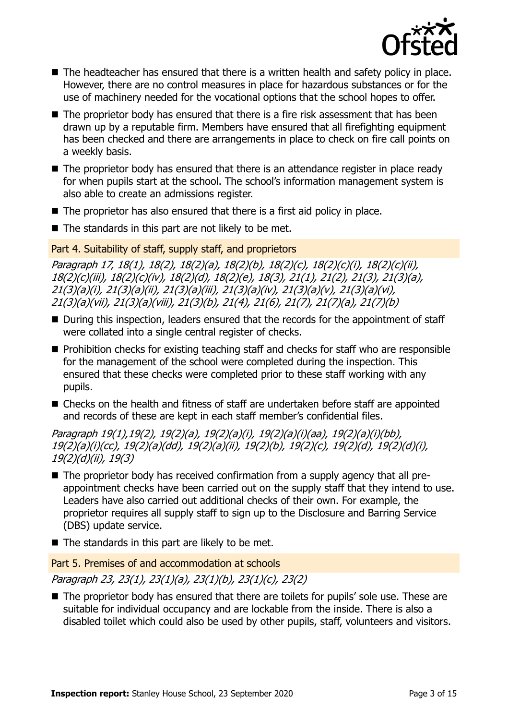

- The headteacher has ensured that there is a written health and safety policy in place. However, there are no control measures in place for hazardous substances or for the use of machinery needed for the vocational options that the school hopes to offer.
- $\blacksquare$  The proprietor body has ensured that there is a fire risk assessment that has been drawn up by a reputable firm. Members have ensured that all firefighting equipment has been checked and there are arrangements in place to check on fire call points on a weekly basis.
- The proprietor body has ensured that there is an attendance register in place ready for when pupils start at the school. The school's information management system is also able to create an admissions register.
- $\blacksquare$  The proprietor has also ensured that there is a first aid policy in place.
- $\blacksquare$  The standards in this part are not likely to be met.

Part 4. Suitability of staff, supply staff, and proprietors

Paragraph 17, 18(1), 18(2), 18(2)(a), 18(2)(b), 18(2)(c), 18(2)(c)(i), 18(2)(c)(ii), 18(2)(c)(iii), 18(2)(c)(iv), 18(2)(d), 18(2)(e), 18(3), 21(1), 21(2), 21(3), 21(3)(a), 21(3)(a)(i), 21(3)(a)(ii), 21(3)(a)(iii), 21(3)(a)(iv), 21(3)(a)(v), 21(3)(a)(vi), 21(3)(a)(vii), 21(3)(a)(viii), 21(3)(b), 21(4), 21(6), 21(7), 21(7)(a), 21(7)(b)

- During this inspection, leaders ensured that the records for the appointment of staff were collated into a single central register of checks.
- $\blacksquare$  Prohibition checks for existing teaching staff and checks for staff who are responsible for the management of the school were completed during the inspection. This ensured that these checks were completed prior to these staff working with any pupils.
- Checks on the health and fitness of staff are undertaken before staff are appointed and records of these are kept in each staff member's confidential files.

Paragraph 19(1),19(2), 19(2)(a), 19(2)(a)(i), 19(2)(a)(i)(aa), 19(2)(a)(i)(bb), 19(2)(a)(i)(cc), 19(2)(a)(dd), 19(2)(a)(ii), 19(2)(b), 19(2)(c), 19(2)(d), 19(2)(d)(i), 19(2)(d)(ii), 19(3)

- The proprietor body has received confirmation from a supply agency that all preappointment checks have been carried out on the supply staff that they intend to use. Leaders have also carried out additional checks of their own. For example, the proprietor requires all supply staff to sign up to the Disclosure and Barring Service (DBS) update service.
- $\blacksquare$  The standards in this part are likely to be met.

Part 5. Premises of and accommodation at schools

Paragraph 23, 23(1), 23(1)(a), 23(1)(b), 23(1)(c), 23(2)

■ The proprietor body has ensured that there are toilets for pupils' sole use. These are suitable for individual occupancy and are lockable from the inside. There is also a disabled toilet which could also be used by other pupils, staff, volunteers and visitors.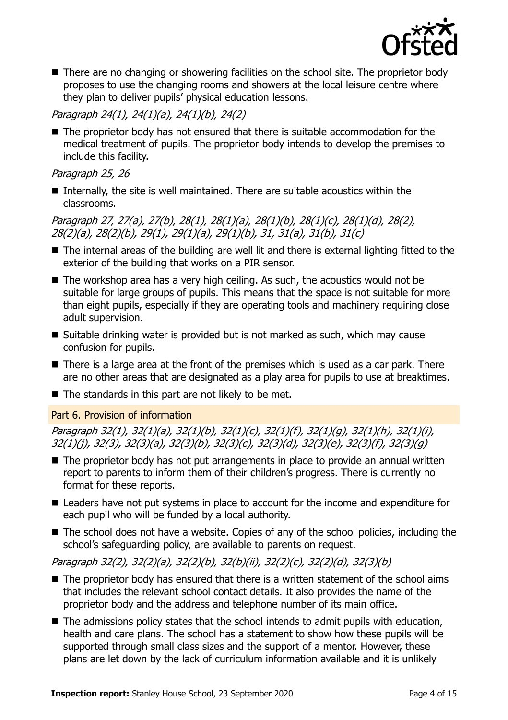

■ There are no changing or showering facilities on the school site. The proprietor body proposes to use the changing rooms and showers at the local leisure centre where they plan to deliver pupils' physical education lessons.

#### Paragraph 24(1), 24(1)(a), 24(1)(b), 24(2)

■ The proprietor body has not ensured that there is suitable accommodation for the medical treatment of pupils. The proprietor body intends to develop the premises to include this facility.

#### Paragraph 25, 26

Internally, the site is well maintained. There are suitable acoustics within the classrooms.

Paragraph 27, 27(a), 27(b), 28(1), 28(1)(a), 28(1)(b), 28(1)(c), 28(1)(d), 28(2), 28(2)(a), 28(2)(b), 29(1), 29(1)(a), 29(1)(b), 31, 31(a), 31(b), 31(c)

- The internal areas of the building are well lit and there is external lighting fitted to the exterior of the building that works on a PIR sensor.
- $\blacksquare$  The workshop area has a very high ceiling. As such, the acoustics would not be suitable for large groups of pupils. This means that the space is not suitable for more than eight pupils, especially if they are operating tools and machinery requiring close adult supervision.
- $\blacksquare$  Suitable drinking water is provided but is not marked as such, which may cause confusion for pupils.
- There is a large area at the front of the premises which is used as a car park. There are no other areas that are designated as a play area for pupils to use at breaktimes.
- $\blacksquare$  The standards in this part are not likely to be met.

#### Part 6. Provision of information

Paragraph 32(1), 32(1)(a), 32(1)(b), 32(1)(c), 32(1)(f), 32(1)(g), 32(1)(h), 32(1)(i), 32(1)(j), 32(3), 32(3)(a), 32(3)(b), 32(3)(c), 32(3)(d), 32(3)(e), 32(3)(f), 32(3)(g)

- $\blacksquare$  The proprietor body has not put arrangements in place to provide an annual written report to parents to inform them of their children's progress. There is currently no format for these reports.
- Leaders have not put systems in place to account for the income and expenditure for each pupil who will be funded by a local authority.
- The school does not have a website. Copies of any of the school policies, including the school's safeguarding policy, are available to parents on request.

#### Paragraph 32(2), 32(2)(a), 32(2)(b), 32(b)(ii), 32(2)(c), 32(2)(d), 32(3)(b)

- $\blacksquare$  The proprietor body has ensured that there is a written statement of the school aims that includes the relevant school contact details. It also provides the name of the proprietor body and the address and telephone number of its main office.
- $\blacksquare$  The admissions policy states that the school intends to admit pupils with education, health and care plans. The school has a statement to show how these pupils will be supported through small class sizes and the support of a mentor. However, these plans are let down by the lack of curriculum information available and it is unlikely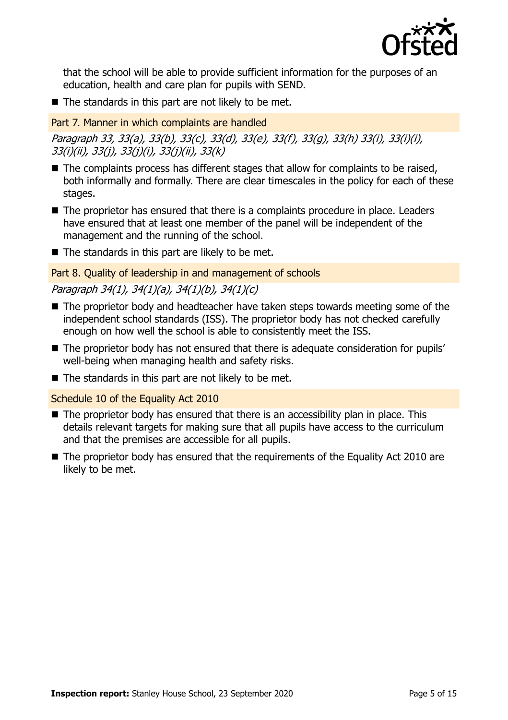

that the school will be able to provide sufficient information for the purposes of an education, health and care plan for pupils with SEND.

 $\blacksquare$  The standards in this part are not likely to be met.

Part 7. Manner in which complaints are handled

Paragraph 33, 33(a), 33(b), 33(c), 33(d), 33(e), 33(f), 33(g), 33(h) 33(i), 33(i)(i), 33(i)(ii), 33(j), 33(j)(i), 33(j)(ii), 33(k)

- $\blacksquare$  The complaints process has different stages that allow for complaints to be raised, both informally and formally. There are clear timescales in the policy for each of these stages.
- The proprietor has ensured that there is a complaints procedure in place. Leaders have ensured that at least one member of the panel will be independent of the management and the running of the school.
- $\blacksquare$  The standards in this part are likely to be met.

Part 8. Quality of leadership in and management of schools

### Paragraph 34(1), 34(1)(a), 34(1)(b), 34(1)(c)

- The proprietor body and headteacher have taken steps towards meeting some of the independent school standards (ISS). The proprietor body has not checked carefully enough on how well the school is able to consistently meet the ISS.
- The proprietor body has not ensured that there is adequate consideration for pupils' well-being when managing health and safety risks.
- $\blacksquare$  The standards in this part are not likely to be met.

Schedule 10 of the Equality Act 2010

- $\blacksquare$  The proprietor body has ensured that there is an accessibility plan in place. This details relevant targets for making sure that all pupils have access to the curriculum and that the premises are accessible for all pupils.
- The proprietor body has ensured that the requirements of the Equality Act 2010 are likely to be met.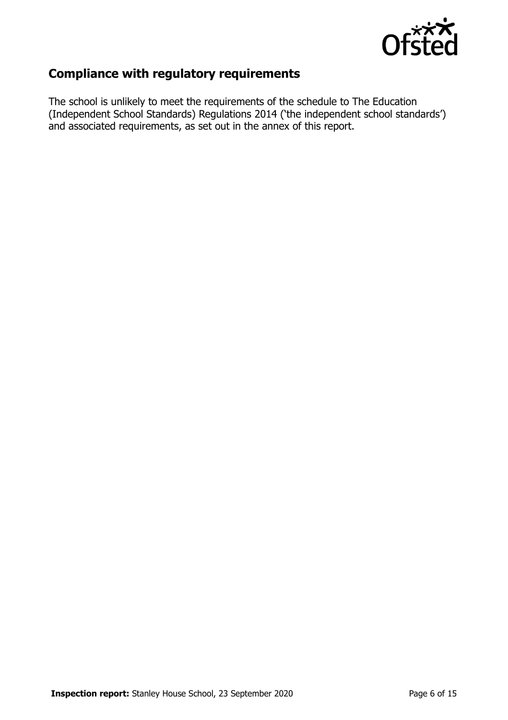

# **Compliance with regulatory requirements**

The school is unlikely to meet the requirements of the schedule to The Education (Independent School Standards) Regulations 2014 ('the independent school standards') and associated requirements, as set out in the annex of this report.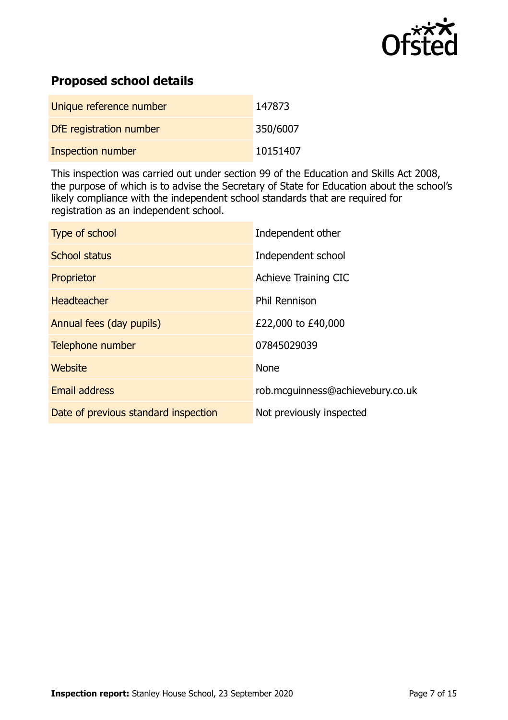

# **Proposed school details**

| Unique reference number  | 147873   |
|--------------------------|----------|
| DfE registration number  | 350/6007 |
| <b>Inspection number</b> | 10151407 |

This inspection was carried out under section 99 of the Education and Skills Act 2008, the purpose of which is to advise the Secretary of State for Education about the school's likely compliance with the independent school standards that are required for registration as an independent school.

| Type of school                       | Independent other                |
|--------------------------------------|----------------------------------|
| School status                        | Independent school               |
| Proprietor                           | Achieve Training CIC             |
| Headteacher                          | <b>Phil Rennison</b>             |
| Annual fees (day pupils)             | £22,000 to £40,000               |
| Telephone number                     | 07845029039                      |
| Website                              | <b>None</b>                      |
| <b>Email address</b>                 | rob.mcguinness@achievebury.co.uk |
| Date of previous standard inspection | Not previously inspected         |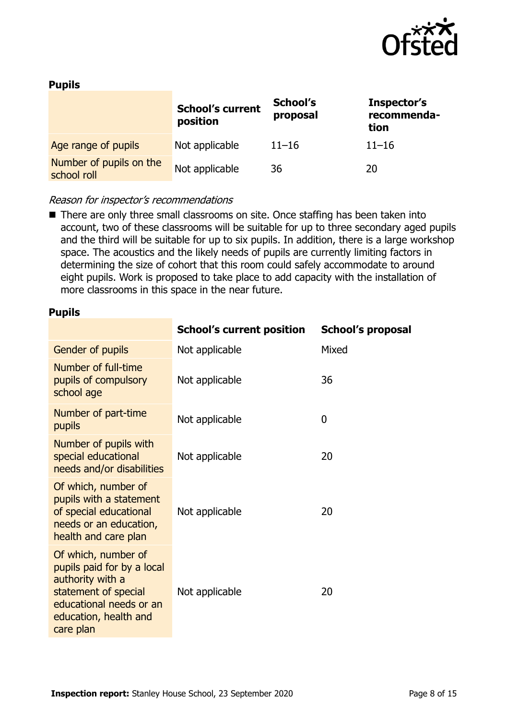

#### **Pupils**

|                                        | <b>School's current</b><br>position | School's<br>proposal | Inspector's<br>recommenda-<br>tion |
|----------------------------------------|-------------------------------------|----------------------|------------------------------------|
| Age range of pupils                    | Not applicable                      | $11 - 16$            | $11 - 16$                          |
| Number of pupils on the<br>school roll | Not applicable                      | 36                   | 20                                 |

#### Reason for inspector's recommendations

■ There are only three small classrooms on site. Once staffing has been taken into account, two of these classrooms will be suitable for up to three secondary aged pupils and the third will be suitable for up to six pupils. In addition, there is a large workshop space. The acoustics and the likely needs of pupils are currently limiting factors in determining the size of cohort that this room could safely accommodate to around eight pupils. Work is proposed to take place to add capacity with the installation of more classrooms in this space in the near future.

#### **Pupils**

|                                                                                                                                                                | <b>School's current position</b> | <b>School's proposal</b> |
|----------------------------------------------------------------------------------------------------------------------------------------------------------------|----------------------------------|--------------------------|
| Gender of pupils                                                                                                                                               | Not applicable                   | Mixed                    |
| Number of full-time<br>pupils of compulsory<br>school age                                                                                                      | Not applicable                   | 36                       |
| Number of part-time<br>pupils                                                                                                                                  | Not applicable                   | $\mathbf 0$              |
| Number of pupils with<br>special educational<br>needs and/or disabilities                                                                                      | Not applicable                   | 20                       |
| Of which, number of<br>pupils with a statement<br>of special educational<br>needs or an education,<br>health and care plan                                     | Not applicable                   | 20                       |
| Of which, number of<br>pupils paid for by a local<br>authority with a<br>statement of special<br>educational needs or an<br>education, health and<br>care plan | Not applicable                   | 20                       |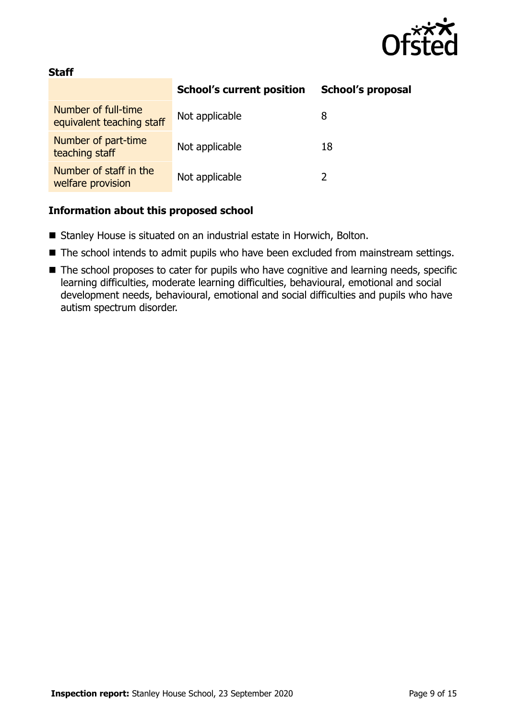

#### **Staff**

|                                                  | <b>School's current position</b> | <b>School's proposal</b> |
|--------------------------------------------------|----------------------------------|--------------------------|
| Number of full-time<br>equivalent teaching staff | Not applicable                   | 8                        |
| Number of part-time<br>teaching staff            | Not applicable                   | 18                       |
| Number of staff in the<br>welfare provision      | Not applicable                   |                          |

#### **Information about this proposed school**

- Stanley House is situated on an industrial estate in Horwich, Bolton.
- The school intends to admit pupils who have been excluded from mainstream settings.
- The school proposes to cater for pupils who have cognitive and learning needs, specific learning difficulties, moderate learning difficulties, behavioural, emotional and social development needs, behavioural, emotional and social difficulties and pupils who have autism spectrum disorder.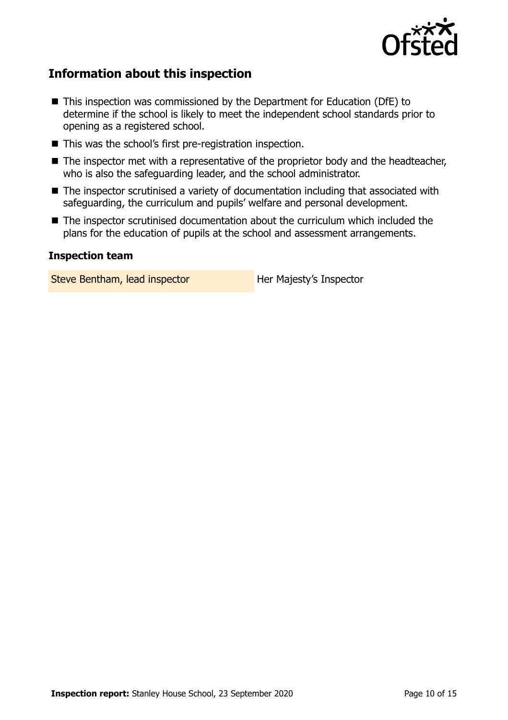

# **Information about this inspection**

- This inspection was commissioned by the Department for Education (DfE) to determine if the school is likely to meet the independent school standards prior to opening as a registered school.
- This was the school's first pre-registration inspection.
- The inspector met with a representative of the proprietor body and the headteacher, who is also the safeguarding leader, and the school administrator.
- The inspector scrutinised a variety of documentation including that associated with safeguarding, the curriculum and pupils' welfare and personal development.
- The inspector scrutinised documentation about the curriculum which included the plans for the education of pupils at the school and assessment arrangements.

#### **Inspection team**

Steve Bentham, lead inspector **Her Majesty's Inspector**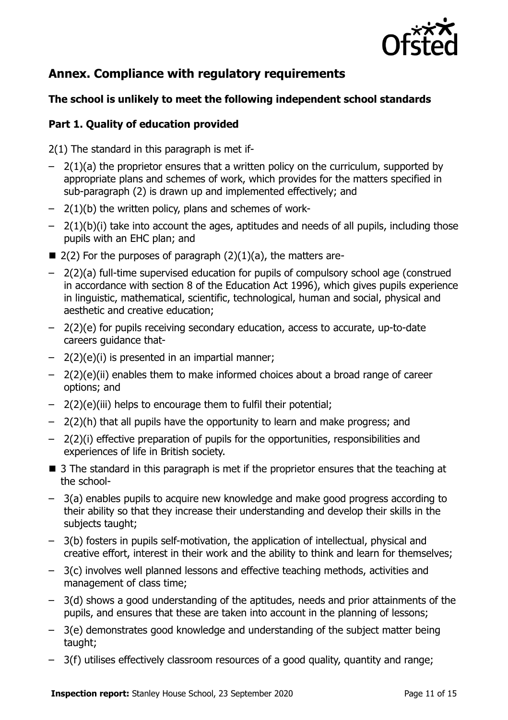

# **Annex. Compliance with regulatory requirements**

#### **The school is unlikely to meet the following independent school standards**

#### **Part 1. Quality of education provided**

2(1) The standard in this paragraph is met if-

- $-$  2(1)(a) the proprietor ensures that a written policy on the curriculum, supported by appropriate plans and schemes of work, which provides for the matters specified in sub-paragraph (2) is drawn up and implemented effectively; and
- $-$  2(1)(b) the written policy, plans and schemes of work-
- 2(1)(b)(i) take into account the ages, aptitudes and needs of all pupils, including those pupils with an EHC plan; and
- $\blacksquare$  2(2) For the purposes of paragraph (2)(1)(a), the matters are-
- 2(2)(a) full-time supervised education for pupils of compulsory school age (construed in accordance with section 8 of the Education Act 1996), which gives pupils experience in linguistic, mathematical, scientific, technological, human and social, physical and aesthetic and creative education;
- 2(2)(e) for pupils receiving secondary education, access to accurate, up-to-date careers guidance that-
- 2(2)(e)(i) is presented in an impartial manner;
- 2(2)(e)(ii) enables them to make informed choices about a broad range of career options; and
- 2(2)(e)(iii) helps to encourage them to fulfil their potential;
- 2(2)(h) that all pupils have the opportunity to learn and make progress; and
- 2(2)(i) effective preparation of pupils for the opportunities, responsibilities and experiences of life in British society.
- 3 The standard in this paragraph is met if the proprietor ensures that the teaching at the school-
- 3(a) enables pupils to acquire new knowledge and make good progress according to their ability so that they increase their understanding and develop their skills in the subjects taught;
- 3(b) fosters in pupils self-motivation, the application of intellectual, physical and creative effort, interest in their work and the ability to think and learn for themselves;
- 3(c) involves well planned lessons and effective teaching methods, activities and management of class time;
- 3(d) shows a good understanding of the aptitudes, needs and prior attainments of the pupils, and ensures that these are taken into account in the planning of lessons;
- 3(e) demonstrates good knowledge and understanding of the subject matter being taught;
- 3(f) utilises effectively classroom resources of a good quality, quantity and range;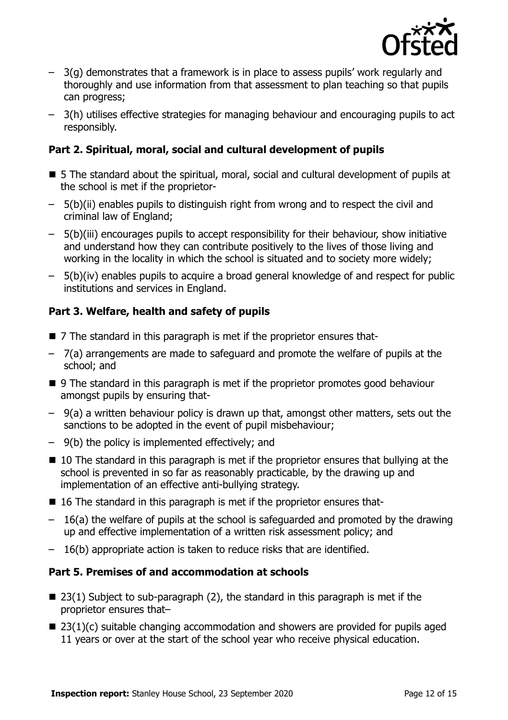

- 3(g) demonstrates that a framework is in place to assess pupils' work regularly and thoroughly and use information from that assessment to plan teaching so that pupils can progress;
- 3(h) utilises effective strategies for managing behaviour and encouraging pupils to act responsibly.

#### **Part 2. Spiritual, moral, social and cultural development of pupils**

- 5 The standard about the spiritual, moral, social and cultural development of pupils at the school is met if the proprietor-
- 5(b)(ii) enables pupils to distinguish right from wrong and to respect the civil and criminal law of England;
- 5(b)(iii) encourages pupils to accept responsibility for their behaviour, show initiative and understand how they can contribute positively to the lives of those living and working in the locality in which the school is situated and to society more widely;
- 5(b)(iv) enables pupils to acquire a broad general knowledge of and respect for public institutions and services in England.

## **Part 3. Welfare, health and safety of pupils**

- 7 The standard in this paragraph is met if the proprietor ensures that-
- 7(a) arrangements are made to safeguard and promote the welfare of pupils at the school; and
- 9 The standard in this paragraph is met if the proprietor promotes good behaviour amongst pupils by ensuring that-
- 9(a) a written behaviour policy is drawn up that, amongst other matters, sets out the sanctions to be adopted in the event of pupil misbehaviour;
- 9(b) the policy is implemented effectively; and
- 10 The standard in this paragraph is met if the proprietor ensures that bullying at the school is prevented in so far as reasonably practicable, by the drawing up and implementation of an effective anti-bullying strategy.
- 16 The standard in this paragraph is met if the proprietor ensures that-
- 16(a) the welfare of pupils at the school is safeguarded and promoted by the drawing up and effective implementation of a written risk assessment policy; and
- 16(b) appropriate action is taken to reduce risks that are identified.

#### **Part 5. Premises of and accommodation at schools**

- $\blacksquare$  23(1) Subject to sub-paragraph (2), the standard in this paragraph is met if the proprietor ensures that–
- $\blacksquare$  23(1)(c) suitable changing accommodation and showers are provided for pupils aged 11 years or over at the start of the school year who receive physical education.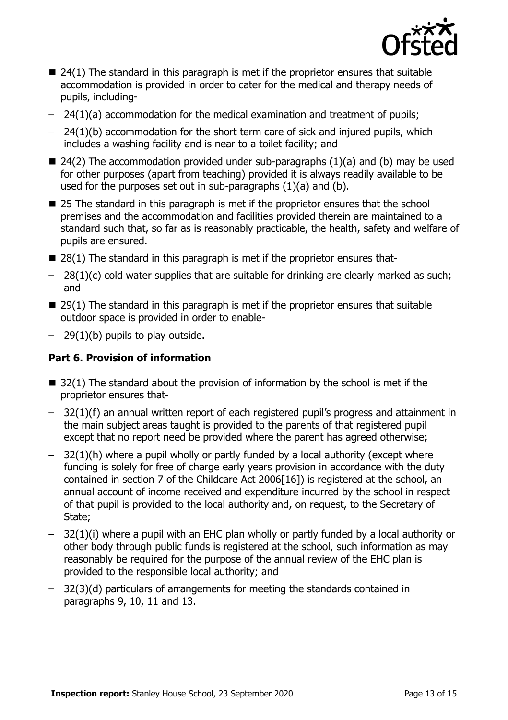

- $\blacksquare$  24(1) The standard in this paragraph is met if the proprietor ensures that suitable accommodation is provided in order to cater for the medical and therapy needs of pupils, including-
- 24(1)(a) accommodation for the medical examination and treatment of pupils;
- 24(1)(b) accommodation for the short term care of sick and injured pupils, which includes a washing facility and is near to a toilet facility; and
- $\blacksquare$  24(2) The accommodation provided under sub-paragraphs (1)(a) and (b) may be used for other purposes (apart from teaching) provided it is always readily available to be used for the purposes set out in sub-paragraphs (1)(a) and (b).
- 25 The standard in this paragraph is met if the proprietor ensures that the school premises and the accommodation and facilities provided therein are maintained to a standard such that, so far as is reasonably practicable, the health, safety and welfare of pupils are ensured.
- $\blacksquare$  28(1) The standard in this paragraph is met if the proprietor ensures that-
- $-$  28(1)(c) cold water supplies that are suitable for drinking are clearly marked as such; and
- $\blacksquare$  29(1) The standard in this paragraph is met if the proprietor ensures that suitable outdoor space is provided in order to enable-
- $-$  29(1)(b) pupils to play outside.

### **Part 6. Provision of information**

- $\blacksquare$  32(1) The standard about the provision of information by the school is met if the proprietor ensures that-
- 32(1)(f) an annual written report of each registered pupil's progress and attainment in the main subject areas taught is provided to the parents of that registered pupil except that no report need be provided where the parent has agreed otherwise;
- $-$  32(1)(h) where a pupil wholly or partly funded by a local authority (except where funding is solely for free of charge early years provision in accordance with the duty contained in section 7 of the Childcare Act 2006[16]) is registered at the school, an annual account of income received and expenditure incurred by the school in respect of that pupil is provided to the local authority and, on request, to the Secretary of State;
- 32(1)(i) where a pupil with an EHC plan wholly or partly funded by a local authority or other body through public funds is registered at the school, such information as may reasonably be required for the purpose of the annual review of the EHC plan is provided to the responsible local authority; and
- 32(3)(d) particulars of arrangements for meeting the standards contained in paragraphs 9, 10, 11 and 13.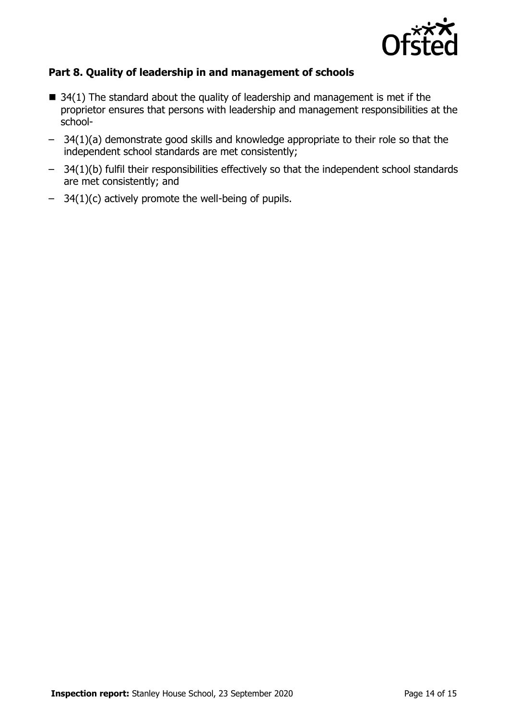

#### **Part 8. Quality of leadership in and management of schools**

- $\blacksquare$  34(1) The standard about the quality of leadership and management is met if the proprietor ensures that persons with leadership and management responsibilities at the school-
- 34(1)(a) demonstrate good skills and knowledge appropriate to their role so that the independent school standards are met consistently;
- 34(1)(b) fulfil their responsibilities effectively so that the independent school standards are met consistently; and
- 34(1)(c) actively promote the well-being of pupils.